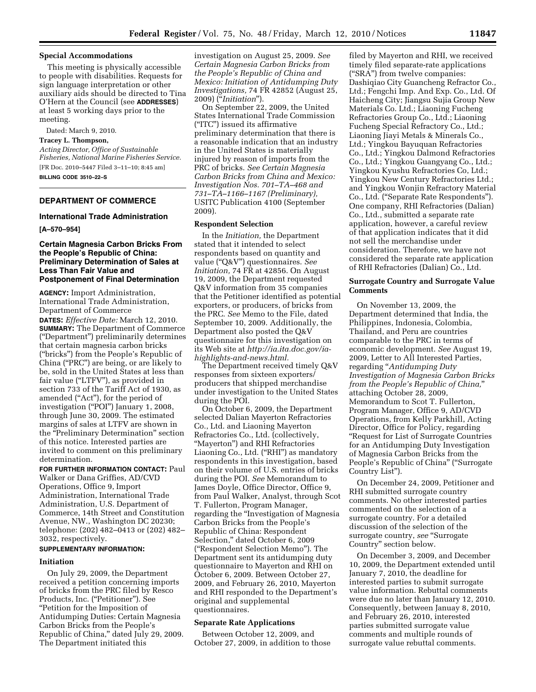### **Special Accommodations**

This meeting is physically accessible to people with disabilities. Requests for sign language interpretation or other auxiliary aids should be directed to Tina O'Hern at the Council (see **ADDRESSES**) at least 5 working days prior to the meeting.

Dated: March 9, 2010.

#### **Tracey L. Thompson,**

*Acting Director, Office of Sustainable Fisheries, National Marine Fisheries Service.*  [FR Doc. 2010–5447 Filed 3–11–10; 8:45 am] **BILLING CODE 3510–22–S** 

# **DEPARTMENT OF COMMERCE**

## **International Trade Administration**

#### **[A–570–954]**

## **Certain Magnesia Carbon Bricks From the People's Republic of China: Preliminary Determination of Sales at Less Than Fair Value and Postponement of Final Determination**

**AGENCY:** Import Administration, International Trade Administration, Department of Commerce

**DATES:** *Effective Date:* March 12, 2010. **SUMMARY:** The Department of Commerce (''Department'') preliminarily determines that certain magnesia carbon bricks (''bricks'') from the People's Republic of China (''PRC'') are being, or are likely to be, sold in the United States at less than fair value (''LTFV''), as provided in section 733 of the Tariff Act of 1930, as amended (''Act''), for the period of investigation ("POI") January 1, 2008, through June 30, 2009. The estimated margins of sales at LTFV are shown in the "Preliminary Determination" section of this notice. Interested parties are invited to comment on this preliminary determination.

**FOR FURTHER INFORMATION CONTACT:** Paul Walker or Dana Griffies, AD/CVD Operations, Office 9, Import Administration, International Trade Administration, U.S. Department of Commerce, 14th Street and Constitution Avenue, NW., Washington DC 20230; telephone: (202) 482–0413 or (202) 482– 3032, respectively.

#### **SUPPLEMENTARY INFORMATION:**

#### **Initiation**

On July 29, 2009, the Department received a petition concerning imports of bricks from the PRC filed by Resco Products, Inc. ("Petitioner"). See ''Petition for the Imposition of Antidumping Duties: Certain Magnesia Carbon Bricks from the People's Republic of China," dated July 29, 2009. The Department initiated this

investigation on August 25, 2009. *See Certain Magnesia Carbon Bricks from the People's Republic of China and Mexico: Initiation of Antidumping Duty Investigations,* 74 FR 42852 (August 25, 2009) (''*Initiation*'').

On September 22, 2009, the United States International Trade Commission (''ITC'') issued its affirmative preliminary determination that there is a reasonable indication that an industry in the United States is materially injured by reason of imports from the PRC of bricks. *See Certain Magnesia Carbon Bricks from China and Mexico: Investigation Nos. 701–TA–468 and 731–TA–1166–1167 (Preliminary),*  USITC Publication 4100 (September 2009).

#### **Respondent Selection**

In the *Initiation,* the Department stated that it intended to select respondents based on quantity and value (''Q&V'') questionnaires. *See Initiation,* 74 FR at 42856. On August 19, 2009, the Department requested Q&V information from 35 companies that the Petitioner identified as potential exporters, or producers, of bricks from the PRC. *See* Memo to the File, dated September 10, 2009. Additionally, the Department also posted the Q&V questionnaire for this investigation on its Web site at *http://ia.ita.doc.gov/iahighlights-and-news.html.* 

The Department received timely Q&V responses from sixteen exporters/ producers that shipped merchandise under investigation to the United States during the POI.

On October 6, 2009, the Department selected Dalian Mayerton Refractories Co., Ltd. and Liaoning Mayerton Refractories Co., Ltd. (collectively, ''Mayerton'') and RHI Refractories Liaoning Co., Ltd. (''RHI'') as mandatory respondents in this investigation, based on their volume of U.S. entries of bricks during the POI. *See* Memorandum to James Doyle, Office Director, Office 9, from Paul Walker, Analyst, through Scot T. Fullerton, Program Manager, regarding the ''Investigation of Magnesia Carbon Bricks from the People's Republic of China: Respondent Selection," dated October 6, 2009 (''Respondent Selection Memo''). The Department sent its antidumping duty questionnaire to Mayerton and RHI on October 6, 2009. Between October 27, 2009, and February 26, 2010, Mayerton and RHI responded to the Department's original and supplemental questionnaires.

#### **Separate Rate Applications**

Between October 12, 2009, and October 27, 2009, in addition to those

filed by Mayerton and RHI, we received timely filed separate-rate applications (''SRA'') from twelve companies: Dashiqiao City Guancheng Refractor Co., Ltd.; Fengchi Imp. And Exp. Co., Ltd. Of Haicheng City; Jiangsu Sujia Group New Materials Co. Ltd.; Liaoning Fucheng Refractories Group Co., Ltd.; Liaoning Fucheng Special Refractory Co., Ltd.; Liaoning Jiayi Metals & Minerals Co., Ltd.; Yingkou Bayuquan Refractories Co., Ltd.; Yingkou Dalmond Refractories Co., Ltd.; Yingkou Guangyang Co., Ltd.; Yingkou Kyushu Refractories Co, Ltd.; Yingkou New Century Refractories Ltd.; and Yingkou Wonjin Refractory Material Co., Ltd. (''Separate Rate Respondents''). One company, RHI Refractories (Dalian) Co., Ltd., submitted a separate rate application, however, a careful review of that application indicates that it did not sell the merchandise under consideration. Therefore, we have not considered the separate rate application of RHI Refractories (Dalian) Co., Ltd.

## **Surrogate Country and Surrogate Value Comments**

On November 13, 2009, the Department determined that India, the Philippines, Indonesia, Colombia, Thailand, and Peru are countries comparable to the PRC in terms of economic development. *See* August 19, 2009, Letter to All Interested Parties, regarding ''*Antidumping Duty Investigation of Magnesia Carbon Bricks from the People's Republic of China,*'' attaching October 28, 2009, Memorandum to Scot T. Fullerton, Program Manager, Office 9, AD/CVD Operations, from Kelly Parkhill, Acting Director, Office for Policy, regarding ''Request for List of Surrogate Countries for an Antidumping Duty Investigation of Magnesia Carbon Bricks from the People's Republic of China'' (''Surrogate Country List'').

On December 24, 2009, Petitioner and RHI submitted surrogate country comments. No other interested parties commented on the selection of a surrogate country. For a detailed discussion of the selection of the surrogate country, see "Surrogate Country'' section below.

On December 3, 2009, and December 10, 2009, the Department extended until January 7, 2010, the deadline for interested parties to submit surrogate value information. Rebuttal comments were due no later than January 12, 2010. Consequently, between Januay 8, 2010, and February 26, 2010, interested parties submitted surrogate value comments and multiple rounds of surrogate value rebuttal comments.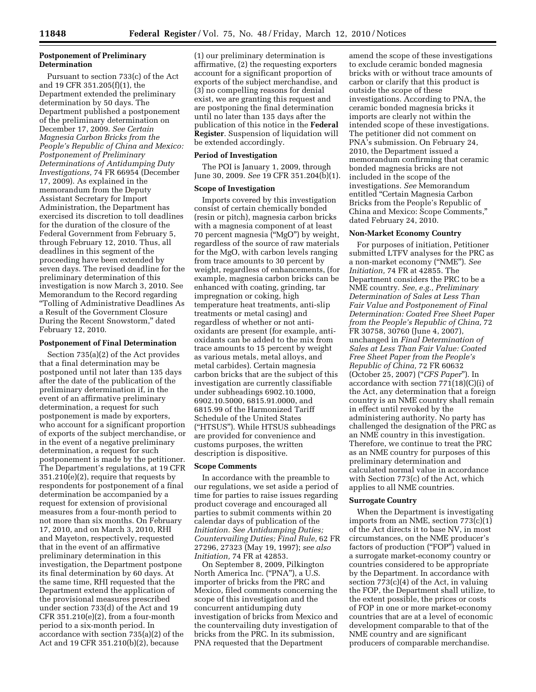# **Postponement of Preliminary Determination**

Pursuant to section 733(c) of the Act and 19 CFR 351.205(f)(1), the Department extended the preliminary determination by 50 days. The Department published a postponement of the preliminary determination on December 17, 2009. *See Certain Magnesia Carbon Bricks from the People's Republic of China and Mexico: Postponement of Preliminary Determinations of Antidumping Duty Investigations,* 74 FR 66954 (December 17, 2009). As explained in the memorandum from the Deputy Assistant Secretary for Import Administration, the Department has exercised its discretion to toll deadlines for the duration of the closure of the Federal Government from February 5, through February 12, 2010. Thus, all deadlines in this segment of the proceeding have been extended by seven days. The revised deadline for the preliminary determination of this investigation is now March 3, 2010. See Memorandum to the Record regarding ''Tolling of Administrative Deadlines As a Result of the Government Closure During the Recent Snowstorm,'' dated February 12, 2010.

#### **Postponement of Final Determination**

Section 735(a)(2) of the Act provides that a final determination may be postponed until not later than 135 days after the date of the publication of the preliminary determination if, in the event of an affirmative preliminary determination, a request for such postponement is made by exporters, who account for a significant proportion of exports of the subject merchandise, or in the event of a negative preliminary determination, a request for such postponement is made by the petitioner. The Department's regulations, at 19 CFR 351.210(e)(2), require that requests by respondents for postponement of a final determination be accompanied by a request for extension of provisional measures from a four-month period to not more than six months. On February 17, 2010, and on March 3, 2010, RHI and Mayeton, respectively, requested that in the event of an affirmative preliminary determination in this investigation, the Department postpone its final determination by 60 days. At the same time, RHI requested that the Department extend the application of the provisional measures prescribed under section 733(d) of the Act and 19 CFR  $351.210(e)(2)$ , from a four-month period to a six-month period. In accordance with section 735(a)(2) of the Act and 19 CFR 351.210(b)(2), because

(1) our preliminary determination is affirmative, (2) the requesting exporters account for a significant proportion of exports of the subject merchandise, and (3) no compelling reasons for denial exist, we are granting this request and are postponing the final determination until no later than 135 days after the publication of this notice in the **Federal Register**. Suspension of liquidation will be extended accordingly.

#### **Period of Investigation**

The POI is January 1, 2009, through June 30, 2009. *See* 19 CFR 351.204(b)(1).

### **Scope of Investigation**

Imports covered by this investigation consist of certain chemically bonded (resin or pitch), magnesia carbon bricks with a magnesia component of at least 70 percent magnesia (''MgO'') by weight, regardless of the source of raw materials for the MgO, with carbon levels ranging from trace amounts to 30 percent by weight, regardless of enhancements, (for example, magnesia carbon bricks can be enhanced with coating, grinding, tar impregnation or coking, high temperature heat treatments, anti-slip treatments or metal casing) and regardless of whether or not antioxidants are present (for example, antioxidants can be added to the mix from trace amounts to 15 percent by weight as various metals, metal alloys, and metal carbides). Certain magnesia carbon bricks that are the subject of this investigation are currently classifiable under subheadings 6902.10.1000, 6902.10.5000, 6815.91.0000, and 6815.99 of the Harmonized Tariff Schedule of the United States (''HTSUS''). While HTSUS subheadings are provided for convenience and customs purposes, the written description is dispositive.

#### **Scope Comments**

In accordance with the preamble to our regulations, we set aside a period of time for parties to raise issues regarding product coverage and encouraged all parties to submit comments within 20 calendar days of publication of the *Initiation. See Antidumping Duties; Countervailing Duties; Final Rule,* 62 FR 27296, 27323 (May 19, 1997); *see also Initiation,* 74 FR at 42853.

On September 8, 2009, Pilkington North America Inc. ("PNA"), a U.S. importer of bricks from the PRC and Mexico, filed comments concerning the scope of this investigation and the concurrent antidumping duty investigation of bricks from Mexico and the countervailing duty investigation of bricks from the PRC. In its submission, PNA requested that the Department

amend the scope of these investigations to exclude ceramic bonded magnesia bricks with or without trace amounts of carbon or clarify that this product is outside the scope of these investigations. According to PNA, the ceramic bonded magnesia bricks it imports are clearly not within the intended scope of these investigations. The petitioner did not comment on PNA's submission. On February 24, 2010, the Department issued a memorandum confirming that ceramic bonded magnesia bricks are not included in the scope of the investigations. *See* Memorandum entitled ''Certain Magnesia Carbon Bricks from the People's Republic of China and Mexico: Scope Comments,'' dated February 24, 2010.

# **Non-Market Economy Country**

For purposes of initiation, Petitioner submitted LTFV analyses for the PRC as a non-market economy (''NME''). *See Initiation,* 74 FR at 42855. The Department considers the PRC to be a NME country. *See, e.g., Preliminary Determination of Sales at Less Than Fair Value and Postponement of Final Determination: Coated Free Sheet Paper from the People's Republic of China,* 72 FR 30758, 30760 (June 4, 2007), unchanged in *Final Determination of Sales at Less Than Fair Value: Coated Free Sheet Paper from the People's Republic of China,* 72 FR 60632 (October 25, 2007) (''*CFS Paper*''). In accordance with section  $771(18)(C)(i)$  of the Act, any determination that a foreign country is an NME country shall remain in effect until revoked by the administering authority. No party has challenged the designation of the PRC as an NME country in this investigation. Therefore, we continue to treat the PRC as an NME country for purposes of this preliminary determination and calculated normal value in accordance with Section 773(c) of the Act, which applies to all NME countries.

#### **Surrogate Country**

When the Department is investigating imports from an NME, section 773(c)(1) of the Act directs it to base NV, in most circumstances, on the NME producer's factors of production ("FOP") valued in a surrogate market-economy country or countries considered to be appropriate by the Department. In accordance with section 773(c)(4) of the Act, in valuing the FOP, the Department shall utilize, to the extent possible, the prices or costs of FOP in one or more market-economy countries that are at a level of economic development comparable to that of the NME country and are significant producers of comparable merchandise.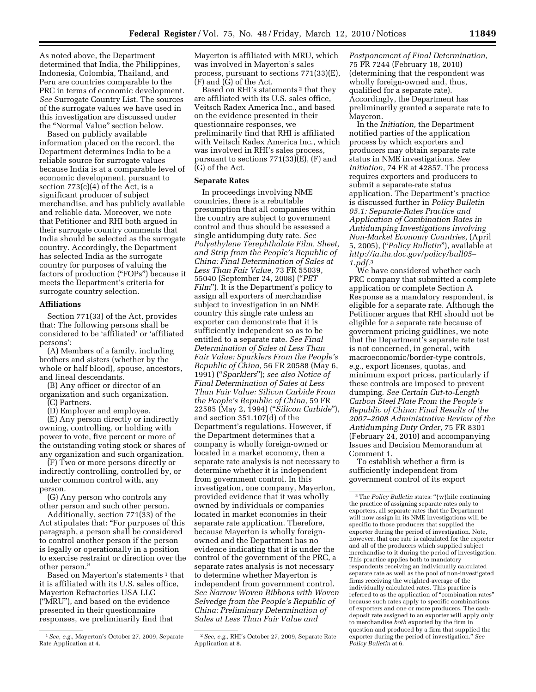As noted above, the Department determined that India, the Philippines, Indonesia, Colombia, Thailand, and Peru are countries comparable to the PRC in terms of economic development. *See* Surrogate Country List. The sources of the surrogate values we have used in this investigation are discussed under the "Normal Value" section below.

Based on publicly available information placed on the record, the Department determines India to be a reliable source for surrogate values because India is at a comparable level of economic development, pursuant to section  $773(c)(4)$  of the Act, is a significant producer of subject merchandise, and has publicly available and reliable data. Moreover, we note that Petitioner and RHI both argued in their surrogate country comments that India should be selected as the surrogate country. Accordingly, the Department has selected India as the surrogate country for purposes of valuing the factors of production ("FOPs") because it meets the Department's criteria for surrogate country selection.

### **Affiliations**

Section 771(33) of the Act, provides that: The following persons shall be considered to be 'affiliated' or 'affiliated persons':

(A) Members of a family, including brothers and sisters (whether by the whole or half blood), spouse, ancestors, and lineal descendants.

(B) Any officer or director of an organization and such organization.

(C) Partners.

(D) Employer and employee.

(E) Any person directly or indirectly owning, controlling, or holding with power to vote, five percent or more of the outstanding voting stock or shares of any organization and such organization.

(F) Two or more persons directly or indirectly controlling, controlled by, or under common control with, any person.

(G) Any person who controls any other person and such other person.

Additionally, section  $771(33)$  of the Act stipulates that: ''For purposes of this paragraph, a person shall be considered to control another person if the person is legally or operationally in a position to exercise restraint or direction over the other person.''

Based on Mayerton's statements<sup>1</sup> that it is affiliated with its U.S. sales office, Mayerton Refractories USA LLC (''MRU''), and based on the evidence presented in their questionnaire responses, we preliminarily find that

Mayerton is affiliated with MRU, which was involved in Mayerton's sales process, pursuant to sections 771(33)(E), (F) and (G) of the Act.

Based on RHI's statements<sup>2</sup> that they are affiliated with its U.S. sales office, Veitsch Radex America Inc., and based on the evidence presented in their questionnaire responses, we preliminarily find that RHI is affiliated with Veitsch Radex America Inc., which was involved in RHI's sales process, pursuant to sections 771(33)(E), (F) and (G) of the Act.

#### **Separate Rates**

In proceedings involving NME countries, there is a rebuttable presumption that all companies within the country are subject to government control and thus should be assessed a single antidumping duty rate. *See Polyethylene Terephthalate Film, Sheet, and Strip from the People's Republic of China: Final Determination of Sales at Less Than Fair Value,* 73 FR 55039, 55040 (September 24, 2008) (''*PET Film*"). It is the Department's policy to assign all exporters of merchandise subject to investigation in an NME country this single rate unless an exporter can demonstrate that it is sufficiently independent so as to be entitled to a separate rate. *See Final Determination of Sales at Less Than Fair Value: Sparklers From the People's Republic of China,* 56 FR 20588 (May 6, 1991) (''*Sparklers*''); *see also Notice of Final Determination of Sales at Less Than Fair Value: Silicon Carbide From the People's Republic of China,* 59 FR 22585 (May 2, 1994) (''*Silicon Carbide*''), and section 351.107(d) of the Department's regulations. However, if the Department determines that a company is wholly foreign-owned or located in a market economy, then a separate rate analysis is not necessary to determine whether it is independent from government control. In this investigation, one company, Mayerton, provided evidence that it was wholly owned by individuals or companies located in market economies in their separate rate application. Therefore, because Mayerton is wholly foreignowned and the Department has no evidence indicating that it is under the control of the government of the PRC, a separate rates analysis is not necessary to determine whether Mayerton is independent from government control. *See Narrow Woven Ribbons with Woven Selvedge from the People's Republic of China: Preliminary Determination of Sales at Less Than Fair Value and* 

*Postponement of Final Determination,*  75 FR 7244 (February 18, 2010) (determining that the respondent was wholly foreign-owned and, thus, qualified for a separate rate). Accordingly, the Department has preliminarily granted a separate rate to Mayeron.

In the *Initiation,* the Department notified parties of the application process by which exporters and producers may obtain separate rate status in NME investigations. *See Initiation,* 74 FR at 42857. The process requires exporters and producers to submit a separate-rate status application. The Department's practice is discussed further in *Policy Bulletin 05.1: Separate-Rates Practice and Application of Combination Rates in Antidumping Investigations involving Non-Market Economy Countries,* (April 5, 2005), (''*Policy Bulletin*''), available at *http://ia.ita.doc.gov/policy/bull05– 1.pdf.*3

We have considered whether each PRC company that submitted a complete application or complete Section A Response as a mandatory respondent, is eligible for a separate rate. Although the Petitioner argues that RHI should not be eligible for a separate rate because of government pricing guidlines, we note that the Department's separate rate test is not concerned, in general, with macroeconomic/border-type controls, *e.g.,* export licenses, quotas, and minimum export prices, particularly if these controls are imposed to prevent dumping. *See Certain Cut-to-Length Carbon Steel Plate From the People's Republic of China: Final Results of the 2007–2008 Administrative Review of the Antidumping Duty Order,* 75 FR 8301 (February 24, 2010) and accompanying Issues and Decision Memorandum at Comment 1.

To establish whether a firm is sufficiently independent from government control of its export

<sup>1</sup>*See, e.g.,* Mayerton's October 27, 2009, Separate Rate Application at 4.

<sup>2</sup>*See, e.g.,* RHI's October 27, 2009, Separate Rate Application at 8.

<sup>&</sup>lt;sup>3</sup>The *Policy Bulletin* states: "{w}hile continuing the practice of assigning separate rates only to exporters, all separate rates that the Department will now assign in its NME investigations will be specific to those producers that supplied the exporter during the period of investigation. Note, however, that one rate is calculated for the exporter and all of the producers which supplied subject merchandise to it during the period of investigation. This practice applies both to mandatory respondents receiving an individually calculated separate rate as well as the pool of non-investigated firms receiving the weighted-average of the individually calculated rates. This practice is referred to as the application of "combination rates" because such rates apply to specific combinations of exporters and one or more producers. The cashdeposit rate assigned to an exporter will apply only to merchandise *both* exported by the firm in question and produced by a firm that supplied the exporter during the period of investigation.'' *See Policy Bulletin* at 6.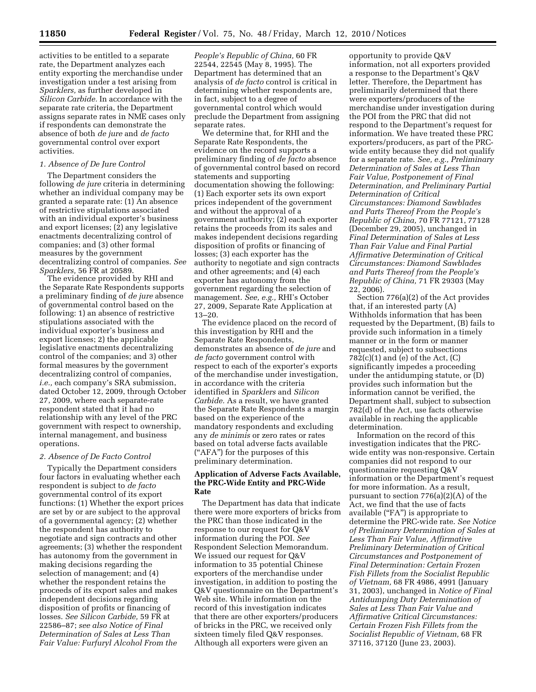activities to be entitled to a separate rate, the Department analyzes each entity exporting the merchandise under investigation under a test arising from *Sparklers,* as further developed in *Silicon Carbide.* In accordance with the separate rate criteria, the Department assigns separate rates in NME cases only if respondents can demonstrate the absence of both *de jure* and *de facto*  governmental control over export activities.

# *1. Absence of De Jure Control*

The Department considers the following *de jure* criteria in determining whether an individual company may be granted a separate rate: (1) An absence of restrictive stipulations associated with an individual exporter's business and export licenses; (2) any legislative enactments decentralizing control of companies; and (3) other formal measures by the government decentralizing control of companies. *See Sparklers,* 56 FR at 20589.

The evidence provided by RHI and the Separate Rate Respondents supports a preliminary finding of *de jure* absence of governmental control based on the following: 1) an absence of restrictive stipulations associated with the individual exporter's business and export licenses; 2) the applicable legislative enactments decentralizing control of the companies; and 3) other formal measures by the government decentralizing control of companies, *i.e.,* each company's SRA submission, dated October 12, 2009, through October 27, 2009, where each separate-rate respondent stated that it had no relationship with any level of the PRC government with respect to ownership, internal management, and business operations.

#### *2. Absence of De Facto Control*

Typically the Department considers four factors in evaluating whether each respondent is subject to *de facto*  governmental control of its export functions: (1) Whether the export prices are set by or are subject to the approval of a governmental agency; (2) whether the respondent has authority to negotiate and sign contracts and other agreements; (3) whether the respondent has autonomy from the government in making decisions regarding the selection of management; and (4) whether the respondent retains the proceeds of its export sales and makes independent decisions regarding disposition of profits or financing of losses. *See Silicon Carbide,* 59 FR at 22586–87; *see also Notice of Final Determination of Sales at Less Than Fair Value: Furfuryl Alcohol From the* 

*People's Republic of China,* 60 FR 22544, 22545 (May 8, 1995). The Department has determined that an analysis of *de facto* control is critical in determining whether respondents are, in fact, subject to a degree of governmental control which would preclude the Department from assigning separate rates.

We determine that, for RHI and the Separate Rate Respondents, the evidence on the record supports a preliminary finding of *de facto* absence of governmental control based on record statements and supporting documentation showing the following: (1) Each exporter sets its own export prices independent of the government and without the approval of a government authority; (2) each exporter retains the proceeds from its sales and makes independent decisions regarding disposition of profits or financing of losses; (3) each exporter has the authority to negotiate and sign contracts and other agreements; and (4) each exporter has autonomy from the government regarding the selection of management. *See, e.g.,* RHI's October 27, 2009, Separate Rate Application at 13–20.

The evidence placed on the record of this investigation by RHI and the Separate Rate Respondents, demonstrates an absence of *de jure* and *de facto* government control with respect to each of the exporter's exports of the merchandise under investigation, in accordance with the criteria identified in *Sparklers* and *Silicon Carbide.* As a result, we have granted the Separate Rate Respondents a margin based on the experience of the mandatory respondents and excluding any *de minimis* or zero rates or rates based on total adverse facts available (''AFA'') for the purposes of this preliminary determination.

## **Application of Adverse Facts Available, the PRC-Wide Entity and PRC-Wide Rate**

The Department has data that indicate there were more exporters of bricks from the PRC than those indicated in the response to our request for Q&V information during the POI. *See*  Respondent Selection Memorandum. We issued our request for Q&V information to 35 potential Chinese exporters of the merchandise under investigation, in addition to posting the Q&V questionnaire on the Department's Web site. While information on the record of this investigation indicates that there are other exporters/producers of bricks in the PRC, we received only sixteen timely filed Q&V responses. Although all exporters were given an

opportunity to provide Q&V information, not all exporters provided a response to the Department's Q&V letter. Therefore, the Department has preliminarily determined that there were exporters/producers of the merchandise under investigation during the POI from the PRC that did not respond to the Department's request for information. We have treated these PRC exporters/producers, as part of the PRCwide entity because they did not qualify for a separate rate. *See, e.g., Preliminary Determination of Sales at Less Than Fair Value, Postponement of Final Determination, and Preliminary Partial Determination of Critical Circumstances: Diamond Sawblades and Parts Thereof From the People's Republic of China,* 70 FR 77121, 77128 (December 29, 2005), unchanged in *Final Determination of Sales at Less Than Fair Value and Final Partial Affirmative Determination of Critical Circumstances: Diamond Sawblades and Parts Thereof from the People's Republic of China,* 71 FR 29303 (May 22, 2006).

Section 776(a)(2) of the Act provides that, if an interested party (A) Withholds information that has been requested by the Department, (B) fails to provide such information in a timely manner or in the form or manner requested, subject to subsections  $782(c)(1)$  and (e) of the Act,  $(C)$ significantly impedes a proceeding under the antidumping statute, or (D) provides such information but the information cannot be verified, the Department shall, subject to subsection 782(d) of the Act, use facts otherwise available in reaching the applicable determination.

Information on the record of this investigation indicates that the PRCwide entity was non-responsive. Certain companies did not respond to our questionnaire requesting Q&V information or the Department's request for more information. As a result, pursuant to section 776(a)(2)(A) of the Act, we find that the use of facts available ("FA") is appropriate to determine the PRC-wide rate. *See Notice of Preliminary Determination of Sales at Less Than Fair Value, Affirmative Preliminary Determination of Critical Circumstances and Postponement of Final Determination: Certain Frozen Fish Fillets from the Socialist Republic of Vietnam,* 68 FR 4986, 4991 (January 31, 2003), unchanged in *Notice of Final Antidumping Duty Determination of Sales at Less Than Fair Value and Affirmative Critical Circumstances: Certain Frozen Fish Fillets from the Socialist Republic of Vietnam,* 68 FR 37116, 37120 (June 23, 2003).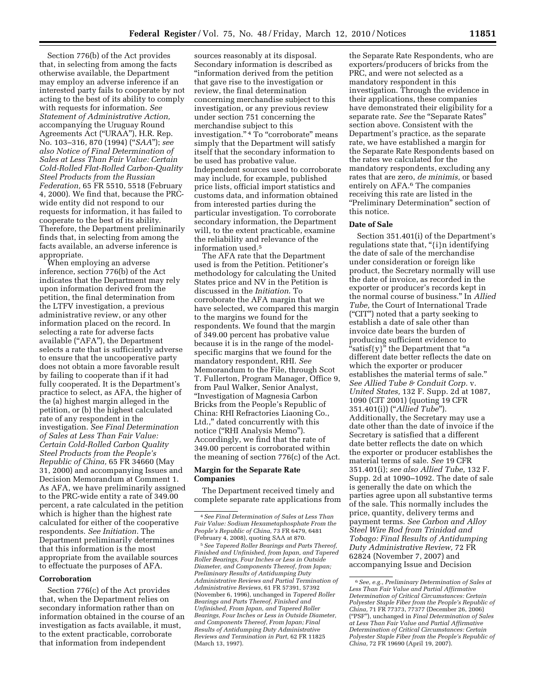Section 776(b) of the Act provides that, in selecting from among the facts otherwise available, the Department may employ an adverse inference if an interested party fails to cooperate by not acting to the best of its ability to comply with requests for information. *See Statement of Administrative Action,*  accompanying the Uruguay Round Agreements Act (''URAA''), H.R. Rep. No. 103–316, 870 (1994) (''*SAA*''); *see also Notice of Final Determination of Sales at Less Than Fair Value: Certain Cold-Rolled Flat-Rolled Carbon-Quality Steel Products from the Russian Federation,* 65 FR 5510, 5518 (February 4, 2000). We find that, because the PRCwide entity did not respond to our requests for information, it has failed to cooperate to the best of its ability. Therefore, the Department preliminarily finds that, in selecting from among the facts available, an adverse inference is appropriate.

When employing an adverse inference, section 776(b) of the Act indicates that the Department may rely upon information derived from the petition, the final determination from the LTFV investigation, a previous administrative review, or any other information placed on the record. In selecting a rate for adverse facts available (''AFA''), the Department selects a rate that is sufficiently adverse to ensure that the uncooperative party does not obtain a more favorable result by failing to cooperate than if it had fully cooperated. It is the Department's practice to select, as AFA, the higher of the (a) highest margin alleged in the petition, or (b) the highest calculated rate of any respondent in the investigation. *See Final Determination of Sales at Less Than Fair Value: Certain Cold-Rolled Carbon Quality Steel Products from the People's Republic of China,* 65 FR 34660 (May 31, 2000) and accompanying Issues and Decision Memorandum at Comment 1. As AFA, we have preliminarily assigned to the PRC-wide entity a rate of 349.00 percent, a rate calculated in the petition which is higher than the highest rate calculated for either of the cooperative respondents. *See Initiation.* The Department preliminarily determines that this information is the most appropriate from the available sources to effectuate the purposes of AFA.

### **Corroboration**

Section 776(c) of the Act provides that, when the Department relies on secondary information rather than on information obtained in the course of an investigation as facts available, it must, to the extent practicable, corroborate that information from independent

sources reasonably at its disposal. Secondary information is described as ''information derived from the petition that gave rise to the investigation or review, the final determination concerning merchandise subject to this investigation, or any previous review under section 751 concerning the merchandise subject to this investigation."<sup>4</sup> To "corroborate" means simply that the Department will satisfy itself that the secondary information to be used has probative value. Independent sources used to corroborate may include, for example, published price lists, official import statistics and customs data, and information obtained from interested parties during the particular investigation. To corroborate secondary information, the Department will, to the extent practicable, examine the reliability and relevance of the information used.5

The AFA rate that the Department used is from the Petition. Petitioner's methodology for calculating the United States price and NV in the Petition is discussed in the *Initiation*. To corroborate the AFA margin that we have selected, we compared this margin to the margins we found for the respondents. We found that the margin of 349.00 percent has probative value because it is in the range of the modelspecific margins that we found for the mandatory respondent, RHI. *See*  Memorandum to the File, through Scot T. Fullerton, Program Manager, Office 9, from Paul Walker, Senior Analyst, ''Investigation of Magnesia Carbon Bricks from the People's Republic of China: RHI Refractories Liaoning Co., Ltd.," dated concurrently with this notice (''RHI Analysis Memo''). Accordingly, we find that the rate of 349.00 percent is corroborated within the meaning of section 776(c) of the Act.

## **Margin for the Separate Rate Companies**

The Department received timely and complete separate rate applications from

5*See Tapered Roller Bearings and Parts Thereof, Finished and Unfinished, from Japan, and Tapered Roller Bearings, Four Inches or Less in Outside Diameter, and Components Thereof, from Japan; Preliminary Results of Antidumping Duty Administrative Reviews and Partial Termination of Administrative Reviews,* 61 FR 57391, 57392 (November 6, 1996), unchanged in *Tapered Roller Bearings and Parts Thereof, Finished and Unfinished, From Japan, and Tapered Roller Bearings, Four Inches or Less in Outside Diameter, and Components Thereof, From Japan; Final Results of Antidumping Duty Administrative Reviews and Termination in Part,* 62 FR 11825 (March 13, 1997).

the Separate Rate Respondents, who are exporters/producers of bricks from the PRC, and were not selected as a mandatory respondent in this investigation. Through the evidence in their applications, these companies have demonstrated their eligibility for a separate rate. *See* the ''Separate Rates'' section above. Consistent with the Department's practice, as the separate rate, we have established a margin for the Separate Rate Respondents based on the rates we calculated for the mandatory respondents, excluding any rates that are zero, *de minimis,* or based entirely on AFA.6 The companies receiving this rate are listed in the ''Preliminary Determination'' section of this notice.

### **Date of Sale**

Section 351.401(i) of the Department's regulations state that, "{i}n identifying the date of sale of the merchandise under consideration or foreign like product, the Secretary normally will use the date of invoice, as recorded in the exporter or producer's records kept in the normal course of business.'' In *Allied Tube,* the Court of International Trade (''CIT'') noted that a party seeking to establish a date of sale other than invoice date bears the burden of producing sufficient evidence to "satisf{y}" the Department that "a different date better reflects the date on which the exporter or producer establishes the material terms of sale.'' *See Allied Tube & Conduit Corp.* v. *United States,* 132 F. Supp. 2d at 1087, 1090 (CIT 2001) (quoting 19 CFR 351.401(i)) (''*Allied Tube*''). Additionally, the Secretary may use a date other than the date of invoice if the Secretary is satisfied that a different date better reflects the date on which the exporter or producer establishes the material terms of sale. *See* 19 CFR 351.401(i); *see also Allied Tube,* 132 F. Supp. 2d at 1090–1092. The date of sale is generally the date on which the parties agree upon all substantive terms of the sale. This normally includes the price, quantity, delivery terms and payment terms. *See Carbon and Alloy Steel Wire Rod from Trinidad and Tobago: Final Results of Antidumping Duty Administrative Review,* 72 FR 62824 (November 7, 2007) and accompanying Issue and Decision

<sup>4</sup>*See Final Determination of Sales at Less Than Fair Value: Sodium Hexametaphosphate From the People's Republic of China,* 73 FR 6479, 6481 (February 4, 2008), quoting SAA at 870.

<sup>6</sup>*See, e.g., Preliminary Determination of Sales at Less Than Fair Value and Partial Affirmative Determination of Critical Circumstances: Certain Polyester Staple Fiber from the People's Republic of China,* 71 FR 77373, 77377 (December 26, 2006) (''PSF''), unchanged in *Final Determination of Sales at Less Than Fair Value and Partial Affirmative Determination of Critical Circumstances: Certain Polyester Staple Fiber from the People's Republic of China,* 72 FR 19690 (April 19, 2007).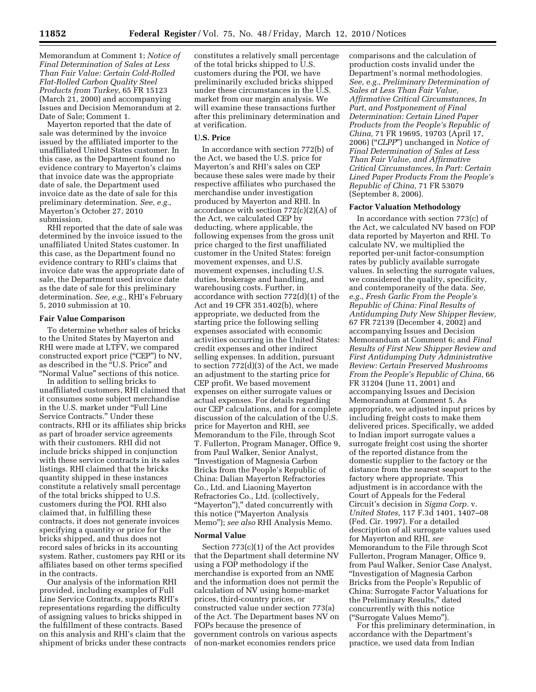Memorandum at Comment 1; *Notice of Final Determination of Sales at Less Than Fair Value: Certain Cold-Rolled Flat-Rolled Carbon Quality Steel Products from Turkey,* 65 FR 15123 (March 21, 2000) and accompanying Issues and Decision Memorandum at 2. Date of Sale; Comment 1.

Mayerton reported that the date of sale was determined by the invoice issued by the affiliated importer to the unaffiliated United States customer. In this case, as the Department found no evidence contrary to Mayerton's claims that invoice date was the appropriate date of sale, the Department used invoice date as the date of sale for this preliminary determination. *See, e.g.,*  Mayerton's October 27, 2010 submission.

RHI reported that the date of sale was determined by the invoice issued to the unaffiliated United States customer. In this case, as the Department found no evidence contrary to RHI's claims that invoice date was the appropriate date of sale, the Department used invoice date as the date of sale for this preliminary determination. *See, e.g.,* RHI's February 5, 2010 submission at 10.

## **Fair Value Comparison**

To determine whether sales of bricks to the United States by Mayerton and RHI were made at LTFV, we compared constructed export price ("CEP") to NV, as described in the "U.S. Price" and ''Normal Value'' sections of this notice.

In addition to selling bricks to unaffiliated customers, RHI claimed that it consumes some subject merchandise in the U.S. market under ''Full Line Service Contracts.'' Under these contracts, RHI or its affiliates ship bricks as part of broader service agreements with their customers. RHI did not include bricks shipped in conjunction with these service contracts in its sales listings. RHI claimed that the bricks quantity shipped in these instances constitute a relatively small percentage of the total bricks shipped to U.S. customers during the POI. RHI also claimed that, in fulfilling these contracts, it does not generate invoices specifying a quantity or price for the bricks shipped, and thus does not record sales of bricks in its accounting system. Rather, customers pay RHI or its affiliates based on other terms specified in the contracts.

Our analysis of the information RHI provided, including examples of Full Line Service Contracts, supports RHI's representations regarding the difficulty of assigning values to bricks shipped in the fulfillment of these contracts. Based on this analysis and RHI's claim that the shipment of bricks under these contracts constitutes a relatively small percentage of the total bricks shipped to U.S. customers during the POI, we have preliminarily excluded bricks shipped under these circumstances in the U.S. market from our margin analysis. We will examine these transactions further after this preliminary determination and at verification.

# **U.S. Price**

In accordance with section 772(b) of the Act, we based the U.S. price for Mayerton's and RHI's sales on CEP because these sales were made by their respective affiliates who purchased the merchandise under investigation produced by Mayerton and RHI. In accordance with section 772(c)(2)(A) of the Act, we calculated CEP by deducting, where applicable, the following expenses from the gross unit price charged to the first unaffiliated customer in the United States: foreign movement expenses, and U.S. movement expenses, including U.S. duties, brokerage and handling, and warehousing costs. Further, in accordance with section 772(d)(1) of the Act and 19 CFR 351.402(b), where appropriate, we deducted from the starting price the following selling expenses associated with economic activities occurring in the United States: credit expenses and other indirect selling expenses. In addition, pursuant to section 772(d)(3) of the Act, we made an adjustment to the starting price for CEP profit. We based movement expenses on either surrogate values or actual expenses. For details regarding our CEP calculations, and for a complete discussion of the calculation of the U.S. price for Mayerton and RHI, *see*  Memorandum to the File, through Scot T. Fullerton, Program Manager, Office 9, from Paul Walker, Senior Analyst, ''Investigation of Magnesia Carbon Bricks from the People's Republic of China: Dalian Mayerton Refractories Co., Ltd. and Liaoning Mayerton Refractories Co., Ltd. (collectively, "Mayerton")," dated concurrently with this notice (''Mayerton Analysis Memo''); *see also* RHI Analysis Memo.

#### **Normal Value**

Section 773(c)(1) of the Act provides that the Department shall determine NV using a FOP methodology if the merchandise is exported from an NME and the information does not permit the calculation of NV using home-market prices, third-country prices, or constructed value under section 773(a) of the Act. The Department bases NV on FOPs because the presence of government controls on various aspects of non-market economies renders price

comparisons and the calculation of production costs invalid under the Department's normal methodologies. *See, e.g., Preliminary Determination of Sales at Less Than Fair Value, Affirmative Critical Circumstances, In Part, and Postponement of Final Determination: Certain Lined Paper Products from the People's Republic of China,* 71 FR 19695, 19703 (April 17, 2006) (''*CLPP*'') unchanged in *Notice of Final Determination of Sales at Less Than Fair Value, and Affirmative Critical Circumstances, In Part: Certain Lined Paper Products From the People's Republic of China,* 71 FR 53079 (September 8, 2006).

#### **Factor Valuation Methodology**

In accordance with section 773(c) of the Act, we calculated NV based on FOP data reported by Mayerton and RHI. To calculate NV, we multiplied the reported per-unit factor-consumption rates by publicly available surrogate values. In selecting the surrogate values, we considered the quality, specificity, and contemporaneity of the data. *See, e.g., Fresh Garlic From the People's Republic of China: Final Results of Antidumping Duty New Shipper Review,*  67 FR 72139 (December 4, 2002) and accompanying Issues and Decision Memorandum at Comment 6; and *Final Results of First New Shipper Review and First Antidumping Duty Administrative Review: Certain Preserved Mushrooms From the People's Republic of China,* 66 FR 31204 (June 11, 2001) and accompanying Issues and Decision Memorandum at Comment 5. As appropriate, we adjusted input prices by including freight costs to make them delivered prices. Specifically, we added to Indian import surrogate values a surrogate freight cost using the shorter of the reported distance from the domestic supplier to the factory or the distance from the nearest seaport to the factory where appropriate. This adjustment is in accordance with the Court of Appeals for the Federal Circuit's decision in *Sigma Corp.* v. *United States,* 117 F.3d 1401, 1407–08 (Fed. Cir. 1997). For a detailed description of all surrogate values used for Mayerton and RHI, *see*  Memorandum to the File through Scot Fullerton, Program Manager, Office 9, from Paul Walker, Senior Case Analyst, ''Investigation of Magnesia Carbon Bricks from the People's Republic of China: Surrogate Factor Valuations for the Preliminary Results,'' dated concurrently with this notice (''Surrogate Values Memo'').

For this preliminary determination, in accordance with the Department's practice, we used data from Indian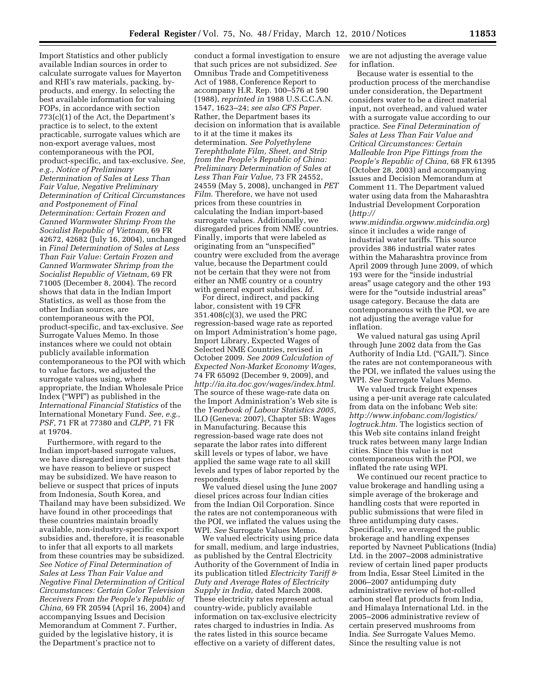Import Statistics and other publicly available Indian sources in order to calculate surrogate values for Mayerton and RHI's raw materials, packing, byproducts, and energy. In selecting the best available information for valuing FOPs, in accordance with section 773(c)(1) of the Act, the Department's practice is to select, to the extent practicable, surrogate values which are non-export average values, most contemporaneous with the POI, product-specific, and tax-exclusive. *See, e.g., Notice of Preliminary Determination of Sales at Less Than Fair Value, Negative Preliminary Determination of Critical Circumstances and Postponement of Final Determination: Certain Frozen and Canned Warmwater Shrimp From the Socialist Republic of Vietnam,* 69 FR 42672, 42682 (July 16, 2004), unchanged in *Final Determination of Sales at Less Than Fair Value: Certain Frozen and Canned Warmwater Shrimp from the Socialist Republic of Vietnam,* 69 FR 71005 (December 8, 2004). The record shows that data in the Indian Import Statistics, as well as those from the other Indian sources, are contemporaneous with the POI, product-specific, and tax-exclusive. *See*  Surrogate Values Memo. In those instances where we could not obtain publicly available information contemporaneous to the POI with which to value factors, we adjusted the surrogate values using, where appropriate, the Indian Wholesale Price Index (''WPI'') as published in the *International Financial Statistics* of the International Monetary Fund. *See, e.g., PSF,* 71 FR at 77380 and *CLPP,* 71 FR at 19704.

Furthermore, with regard to the Indian import-based surrogate values, we have disregarded import prices that we have reason to believe or suspect may be subsidized. We have reason to believe or suspect that prices of inputs from Indonesia, South Korea, and Thailand may have been subsidized. We have found in other proceedings that these countries maintain broadly available, non-industry-specific export subsidies and, therefore, it is reasonable to infer that all exports to all markets from these countries may be subsidized. *See Notice of Final Determination of Sales at Less Than Fair Value and Negative Final Determination of Critical Circumstances: Certain Color Television Receivers From the People's Republic of China,* 69 FR 20594 (April 16, 2004) and accompanying Issues and Decision Memorandum at Comment 7. Further, guided by the legislative history, it is the Department's practice not to

conduct a formal investigation to ensure that such prices are not subsidized. *See*  Omnibus Trade and Competitiveness Act of 1988, Conference Report to accompany H.R. Rep. 100–576 at 590 (1988), *reprinted in* 1988 U.S.C.C.A.N. 1547, 1623–24; *see also CFS Paper*. Rather, the Department bases its decision on information that is available to it at the time it makes its determination. *See Polyethylene Terephthalate Film, Sheet, and Strip from the People's Republic of China: Preliminary Determination of Sales at Less Than Fair Value,* 73 FR 24552, 24559 (May 5, 2008), unchanged in *PET Film*. Therefore, we have not used prices from these countries in calculating the Indian import-based surrogate values. Additionally, we disregarded prices from NME countries. Finally, imports that were labeled as originating from an ''unspecified'' country were excluded from the average value, because the Department could not be certain that they were not from either an NME country or a country with general export subsidies. *Id.* 

For direct, indirect, and packing labor, consistent with 19 CFR 351.408(c)(3), we used the PRC regression-based wage rate as reported on Import Administration's home page, Import Library, Expected Wages of Selected NME Countries, revised in October 2009. *See 2009 Calculation of Expected Non-Market Economy Wages,*  74 FR 65092 (December 9, 2009), and *http://ia.ita.doc.gov/wages/index.html*. The source of these wage-rate data on the Import Administration's Web site is the *Yearbook of Labour Statistics 2005,*  ILO (Geneva: 2007), Chapter 5B: Wages in Manufacturing. Because this regression-based wage rate does not separate the labor rates into different skill levels or types of labor, we have applied the same wage rate to all skill levels and types of labor reported by the respondents.

We valued diesel using the June 2007 diesel prices across four Indian cities from the Indian Oil Corporation. Since the rates are not contemporaneous with the POI, we inflated the values using the WPI. *See* Surrogate Values Memo.

We valued electricity using price data for small, medium, and large industries, as published by the Central Electricity Authority of the Government of India in its publication titled *Electricity Tariff & Duty and Average Rates of Electricity Supply in India,* dated March 2008. These electricity rates represent actual country-wide, publicly available information on tax-exclusive electricity rates charged to industries in India. As the rates listed in this source became effective on a variety of different dates,

we are not adjusting the average value for inflation.

Because water is essential to the production process of the merchandise under consideration, the Department considers water to be a direct material input, not overhead, and valued water with a surrogate value according to our practice. *See Final Determination of Sales at Less Than Fair Value and Critical Circumstances: Certain Malleable Iron Pipe Fittings from the People's Republic of China,* 68 FR 61395 (October 28, 2003) and accompanying Issues and Decision Memorandum at Comment 11. The Department valued water using data from the Maharashtra Industrial Development Corporation (*http://* 

*www.midindia.orgwww.midcindia.org*) since it includes a wide range of industrial water tariffs. This source provides 386 industrial water rates within the Maharashtra province from April 2009 through June 2009, of which 193 were for the ''inside industrial areas'' usage category and the other 193 were for the "outside industrial areas" usage category. Because the data are contemporaneous with the POI, we are not adjusting the average value for inflation.

We valued natural gas using April through June 2002 data from the Gas Authority of India Ltd. (''GAIL''). Since the rates are not contemporaneous with the POI, we inflated the values using the WPI. *See* Surrogate Values Memo.

We valued truck freight expenses using a per-unit average rate calculated from data on the infobanc Web site: *http://www.infobanc.com/logistics/ logtruck.htm*. The logistics section of this Web site contains inland freight truck rates between many large Indian cities. Since this value is not contemporaneous with the POI, we inflated the rate using WPI.

We continued our recent practice to value brokerage and handling using a simple average of the brokerage and handling costs that were reported in public submissions that were filed in three antidumping duty cases. Specifically, we averaged the public brokerage and handling expenses reported by Navneet Publications (India) Ltd. in the 2007–2008 administrative review of certain lined paper products from India, Essar Steel Limited in the 2006–2007 antidumping duty administrative review of hot-rolled carbon steel flat products from India, and Himalaya International Ltd. in the 2005–2006 administrative review of certain preserved mushrooms from India. *See* Surrogate Values Memo. Since the resulting value is not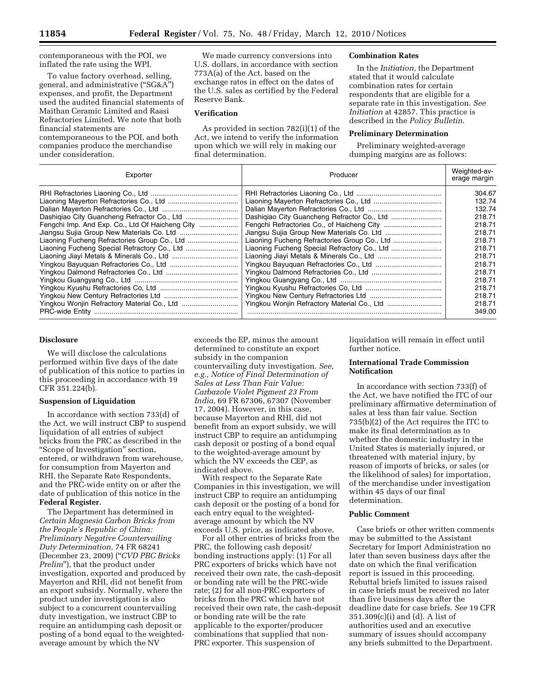contemporaneous with the POI, we inflated the rate using the WPI.

To value factory overhead, selling, general, and administrative (''SG&A'') expenses, and profit, the Department used the audited financial statements of Maithan Ceramic Limited and Raasi Refractories Limited. We note that both financial statements are contemporaneous to the POI, and both companies produce the merchandise under consideration.

We made currency conversions into U.S. dollars, in accordance with section 773A(a) of the Act, based on the exchange rates in effect on the dates of the U.S. sales as certified by the Federal Reserve Bank.

#### **Verification**

As provided in section 782(i)(1) of the Act, we intend to verify the information upon which we will rely in making our final determination.

### **Combination Rates**

In the *Initiation,* the Department stated that it would calculate combination rates for certain respondents that are eligible for a separate rate in this investigation. *See Initiation* at 42857. This practice is described in the *Policy Bulletin*.

### **Preliminary Determination**

Preliminary weighted-average dumping margins are as follows:

| Exporter                                        | Producer                                     | Weighted-av-<br>erage margin |
|-------------------------------------------------|----------------------------------------------|------------------------------|
|                                                 |                                              | 304.67                       |
|                                                 |                                              | 132.74                       |
|                                                 |                                              | 132.74                       |
|                                                 |                                              | 218.71                       |
| Fengchi Imp. And Exp. Co., Ltd Of Haicheng City |                                              | 218.71                       |
|                                                 |                                              | 218.71                       |
| Liaoning Fucheng Refractories Group Co., Ltd    | Liaoning Fucheng Refractories Group Co., Ltd | 218.71                       |
|                                                 |                                              | 218.71                       |
|                                                 |                                              | 218.71                       |
|                                                 |                                              | 218.71                       |
|                                                 |                                              | 218.71                       |
|                                                 |                                              | 218.71                       |
|                                                 |                                              | 218.71                       |
|                                                 |                                              | 218.71                       |
| Yingkou Wonjin Refractory Material Co., Ltd     |                                              | 218.71                       |
|                                                 |                                              | 349.00                       |

# **Disclosure**

We will disclose the calculations performed within five days of the date of publication of this notice to parties in this proceeding in accordance with 19 CFR 351.224(b).

#### **Suspension of Liquidation**

In accordance with section 733(d) of the Act, we will instruct CBP to suspend liquidation of all entries of subject bricks from the PRC as described in the ''Scope of Investigation'' section, entered, or withdrawn from warehouse, for consumption from Mayerton and RHI, the Separate Rate Respondents, and the PRC-wide entity on or after the date of publication of this notice in the **Federal Register**.

The Department has determined in *Certain Magnesia Carbon Bricks from the People's Republic of China: Preliminary Negative Countervailing Duty Determination,* 74 FR 68241 (December 23, 2009) (''*CVD PRC Bricks Prelim*''), that the product under investigation, exported and produced by Mayerton and RHI, did not benefit from an export subsidy. Normally, where the product under investigation is also subject to a concurrent countervailing duty investigation, we instruct CBP to require an antidumping cash deposit or posting of a bond equal to the weightedaverage amount by which the NV

exceeds the EP, minus the amount determined to constitute an export subsidy in the companion countervailing duty investigation. *See, e.g., Notice of Final Determination of Sales at Less Than Fair Value: Carbazole Violet Pigment 23 From India,* 69 FR 67306, 67307 (November 17, 2004). However, in this case, because Mayerton and RHI, did not benefit from an export subsidy, we will instruct CBP to require an antidumping cash deposit or posting of a bond equal to the weighted-average amount by which the NV exceeds the CEP, as indicated above.

With respect to the Separate Rate Companies in this investigation, we will instruct CBP to require an antidumping cash deposit or the posting of a bond for each entry equal to the weightedaverage amount by which the NV exceeds U.S. price, as indicated above.

For all other entries of bricks from the PRC, the following cash deposit/ bonding instructions apply: (1) For all PRC exporters of bricks which have not received their own rate, the cash-deposit or bonding rate will be the PRC-wide rate; (2) for all non-PRC exporters of bricks from the PRC which have not received their own rate, the cash-deposit or bonding rate will be the rate applicable to the exporter/producer combinations that supplied that non-PRC exporter. This suspension of

liquidation will remain in effect until further notice.

## **International Trade Commission Notification**

In accordance with section 733(f) of the Act, we have notified the ITC of our preliminary affirmative determination of sales at less than fair value. Section 735(b)(2) of the Act requires the ITC to make its final determination as to whether the domestic industry in the United States is materially injured, or threatened with material injury, by reason of imports of bricks, or sales (or the likelihood of sales) for importation, of the merchandise under investigation within 45 days of our final determination.

### **Public Comment**

Case briefs or other written comments may be submitted to the Assistant Secretary for Import Administration no later than seven business days after the date on which the final verification report is issued in this proceeding. Rebuttal briefs limited to issues raised in case briefs must be received no later than five business days after the deadline date for case briefs. *See* 19 CFR 351.309(c)(i) and (d). A list of authorities used and an executive summary of issues should accompany any briefs submitted to the Department.